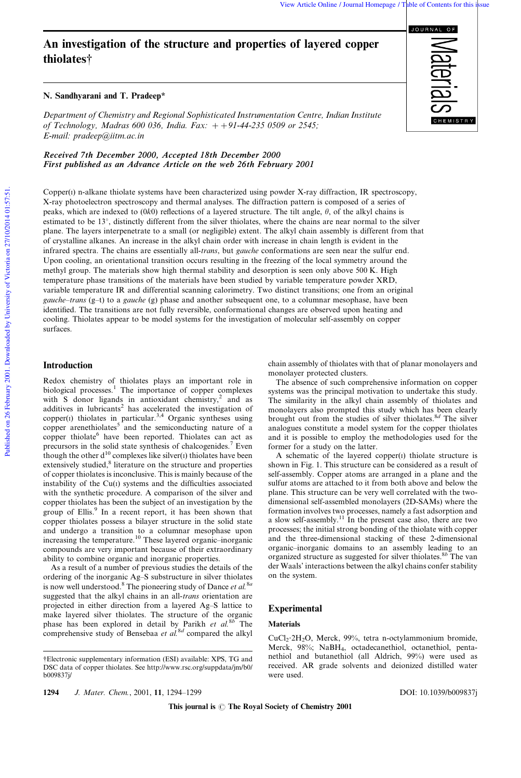# An investigation of the structure and properties of layered copper thiolates{

## N. Sandhyarani and T. Pradeep\*

*Department of Chemistry and Regional Sophisticated Instrumentation Centre, Indian Institute of Technology, Madras 600 036, India. Fax:*  $+$  + 91-44-235 0509 or 2545; *E-mail: pradeep@iitm.ac.in*

Received 7th December 2000, Accepted 18th December 2000 First published as an Advance Article on the web 26th February 2001

Copper(I) n-alkane thiolate systems have been characterized using powder X-ray diffraction, IR spectroscopy, X-ray photoelectron spectroscopy and thermal analyses. The diffraction pattern is composed of a series of peaks, which are indexed to  $(0k0)$  reflections of a layered structure. The tilt angle,  $\theta$ , of the alkyl chains is estimated to be 13<sup>°</sup>, distinctly different from the silver thiolates, where the chains are near normal to the silver plane. The layers interpenetrate to a small (or negligible) extent. The alkyl chain assembly is different from that of crystalline alkanes. An increase in the alkyl chain order with increase in chain length is evident in the infrared spectra. The chains are essentially all-*trans*, but *gauche* conformations are seen near the sulfur end. Upon cooling, an orientational transition occurs resulting in the freezing of the local symmetry around the methyl group. The materials show high thermal stability and desorption is seen only above 500 K. High temperature phase transitions of the materials have been studied by variable temperature powder XRD, variable temperature IR and differential scanning calorimetry. Two distinct transitions; one from an original *gauche*–*trans* (g–t) to a *gauche* (g) phase and another subsequent one, to a columnar mesophase, have been identified. The transitions are not fully reversible, conformational changes are observed upon heating and cooling. Thiolates appear to be model systems for the investigation of molecular self-assembly on copper surfaces.

# Introduction

Redox chemistry of thiolates plays an important role in biological processes.<sup>1</sup> The importance of copper complexes with S donor ligands in antioxidant chemistry,<sup>2</sup> and as additives in lubricants<sup>2</sup> has accelerated the investigation of copper $(1)$  thiolates in particular.<sup>3,4</sup> Organic syntheses using copper arenethiolates<sup>5</sup> and the semiconducting nature of a copper thiolate<sup>6</sup> have been reported. Thiolates can act as precursors in the solid state synthesis of chalcogenides.<sup>7</sup> Even though the other  $d^{10}$  complexes like silver(1) thiolates have been extensively studied,<sup>8</sup> literature on the structure and properties of copper thiolates is inconclusive. This is mainly because of the instability of the  $Cu(i)$  systems and the difficulties associated with the synthetic procedure. A comparison of the silver and copper thiolates has been the subject of an investigation by the group of Ellis.<sup>9</sup> In a recent report, it has been shown that copper thiolates possess a bilayer structure in the solid state and undergo a transition to a columnar mesophase upon increasing the temperature.<sup>10</sup> These layered organic–inorganic compounds are very important because of their extraordinary ability to combine organic and inorganic properties.

As a result of a number of previous studies the details of the ordering of the inorganic Ag–S substructure in silver thiolates is now well understood.<sup>8</sup> The pioneering study of Dance *et al.*8*<sup>a</sup>* suggested that the alkyl chains in an all-*trans* orientation are projected in either direction from a layered Ag–S lattice to make layered silver thiolates. The structure of the organic phase has been explored in detail by Parikh *et al.*8*<sup>b</sup>* The comprehensive study of Bensebaa et al.<sup>8d</sup> compared the alkyl

1294 *J. Mater. Chem.*, 2001, 11, 1294–1299 DOI: 10.1039/b009837j

brought out from the studies of silver thiolates.8*<sup>d</sup>* The silver analogues constitute a model system for the copper thiolates

monolayer protected clusters.

former for a study on the latter. A schematic of the layered copper(I) thiolate structure is shown in Fig. 1. This structure can be considered as a result of self-assembly. Copper atoms are arranged in a plane and the sulfur atoms are attached to it from both above and below the plane. This structure can be very well correlated with the twodimensional self-assembled monolayers (2D-SAMs) where the formation involves two processes, namely a fast adsorption and a slow self-assembly.<sup>11</sup> In the present case also, there are two processes; the initial strong bonding of the thiolate with copper and the three-dimensional stacking of these 2-dimensional organic–inorganic domains to an assembly leading to an organized structure as suggested for silver thiolates.8*<sup>b</sup>* The van der Waals' interactions between the alkyl chains confer stability on the system.

chain assembly of thiolates with that of planar monolayers and

The absence of such comprehensive information on copper systems was the principal motivation to undertake this study. The similarity in the alkyl chain assembly of thiolates and monolayers also prompted this study which has been clearly

and it is possible to employ the methodologies used for the

# Experimental

## Materials

CuCl<sub>2</sub>·2H<sub>2</sub>O, Merck, 99%, tetra n-octylammonium bromide, Merck, 98%; NaBH4, octadecanethiol, octanethiol, pentanethiol and butanethiol (all Aldrich, 99%) were used as received. AR grade solvents and deionized distilled water were used.



<sup>{</sup>Electronic supplementary information (ESI) available: XPS, TG and DSC data of copper thiolates. See http://www.rsc.org/suppdata/jm/b0/ b009837j/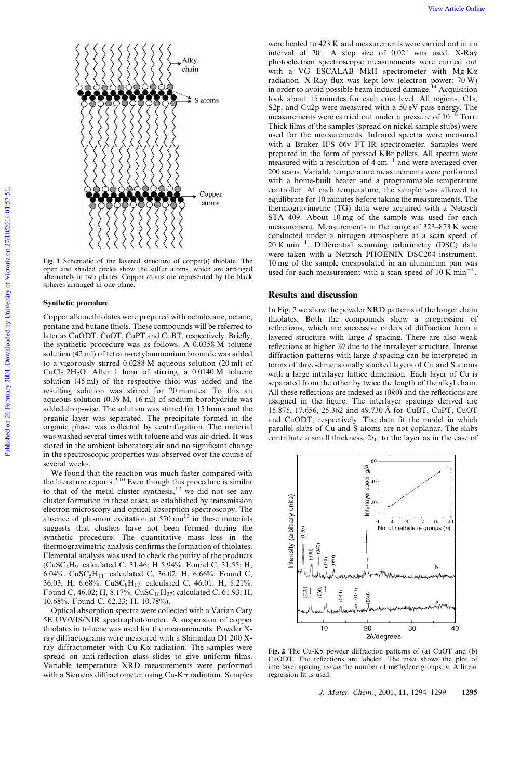

Alkyl chain

 $\Rightarrow$  S atoms

Copper atoms

## Synthetic procedure

Copper alkanethiolates were prepared with octadecane, octane, pentane and butane thiols. These compounds will be referred to later as CuODT, CuOT, CuPT and CuBT, respectively. Briefly, the synthetic procedure was as follows. A 0.0358 M toluene solution (42 ml) of tetra n-octylammonium bromide was added to a vigorously stirred 0.0288 M aqueous solution (20 ml) of CuCl<sub>2</sub>·2H<sub>2</sub>O. After 1 hour of stirring, a 0.0140 M toluene solution (45 ml) of the respective thiol was added and the resulting solution was stirred for 20 minutes. To this an aqueous solution (0.39 M, 16 ml) of sodium borohydride was added drop-wise. The solution was stirred for 15 hours and the organic layer was separated. The precipitate formed in the organic phase was collected by centrifugation. The material was washed several times with toluene and was air-dried. It was stored in the ambient laboratory air and no significant change in the spectroscopic properties was observed over the course of several weeks.

We found that the reaction was much faster compared with the literature reports.<sup>9,10</sup> Even though this procedure is similar to that of the metal cluster synthesis, $12$  we did not see any cluster formation in these cases, as established by transmission electron microscopy and optical absorption spectroscopy. The absence of plasmon excitation at  $570 \text{ nm}^{13}$  in these materials suggests that clusters have not been formed during the synthetic procedure. The quantitative mass loss in the thermogravimetric analysis confirms the formation of thiolates. Elemental analysis was used to check the purity of the products (CuSC4H9: calculated C, 31.46; H 5.94%. Found C, 31.55; H, 6.04%. CuSC<sub>5</sub>H<sub>11</sub>: calculated C, 36.02; H, 6.66%. Found C, 36.03; H, 6.68%. CuSC8H17: calculated C, 46.01; H, 8.21%. Found C, 46.02; H, 8.17%. CuSC<sub>18</sub>H<sub>37</sub>: calculated C, 61.93; H, 10.68%. Found C, 62.23; H, 10.78%).

Optical absorption spectra were collected with a Varian Cary 5E UV/VIS/NIR spectrophotometer. A suspension of copper thiolates in toluene was used for the measurements. Powder Xray diffractograms were measured with a Shimadzu D1 200 Xray diffractometer with Cu-K $\alpha$  radiation. The samples were spread on anti-reflection glass slides to give uniform films. Variable temperature XRD measurements were performed with a Siemens diffractometer using  $Cu-K\alpha$  radiation. Samples

were heated to 423 K and measurements were carried out in an interval of  $20^{\circ}$ . A step size of  $0.02^{\circ}$  was used. X-Ray photoelectron spectroscopic measurements were carried out with a VG ESCALAB MkII spectrometer with Mg-K $\alpha$ radiation. X-Ray flux was kept low (electron power: 70 W) in order to avoid possible beam induced damage.<sup>14</sup> Acquisition took about 15 minutes for each core level. All regions, C1s, S2p, and Cu2p were measured with a 50 eV pass energy. The measurements were carried out under a pressure of  $10^{-8}$  Torr. Thick films of the samples (spread on nickel sample stubs) were used for the measurements. Infrared spectra were measured with a Bruker IFS 66v FT-IR spectrometer. Samples were prepared in the form of pressed KBr pellets. All spectra were measured with a resolution of  $4 \text{ cm}^{-1}$  and were averaged over 200 scans. Variable temperature measurements were performed with a home-built heater and a programmable temperature controller. At each temperature, the sample was allowed to equilibrate for 10 minutes before taking the measurements. The thermogravimetric (TG) data were acquired with a Netzsch STA 409. About 10 mg of the sample was used for each measurement. Measurements in the range of 323–873 K were conducted under a nitrogen atmosphere at a scan speed of  $20 \text{ K min}^{-1}$ . Differential scanning calorimetry (DSC) data were taken with a Netzsch PHOENIX DSC204 instrument. 10 mg of the sample encapsulated in an aluminium pan was used for each measurement with a scan speed of  $10 \text{ K min}^{-1}$ .

#### Results and discussion

In Fig. 2 we show the powder XRD patterns of the longer chain thiolates. Both the compounds show a progression of reflections, which are successive orders of diffraction from a layered structure with large *d* spacing. There are also weak reflections at higher  $2\theta$  due to the intralayer structure. Intense diffraction patterns with large *d* spacing can be interpreted in terms of three-dimensionally stacked layers of Cu and S atoms with a large interlayer lattice dimension. Each layer of Cu is separated from the other by twice the length of the alkyl chain. All these reflections are indexed as (0*k*0) and the reflections are assigned in the figure. The interlayer spacings derived are 15.875, 17.656, 25.362 and 49.730 A˚ for CuBT, CuPT, CuOT and CuODT, respectively. The data fit the model in which parallel slabs of Cu and S atoms are not coplanar. The slabs contribute a small thickness,  $2t_1$ , to the layer as in the case of



Fig. 2 The Cu-K $\alpha$  powder diffraction patterns of (a) CuOT and (b) CuODT. The reflections are labeled. The inset shows the plot of interlayer spacing *versus* the number of methylene groups, *n*. A linear regression fit is used.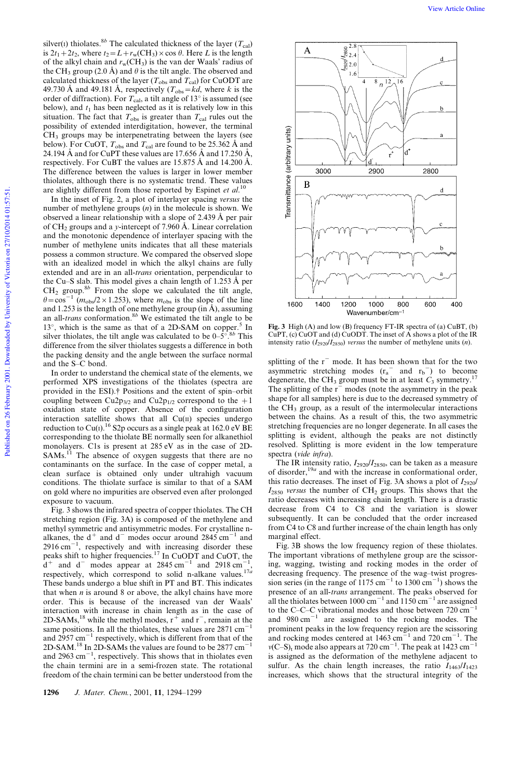silver(I) thiolates.<sup>8*b*</sup> The calculated thickness of the layer ( $T_{\text{cal}}$ ) is  $2t_1+2t_2$ , where  $t_2 = L + r_w(CH_3) \times \cos \theta$ . Here *L* is the length of the alkyl chain and  $r_w(CH_3)$  is the van der Waals' radius of the CH<sub>3</sub> group (2.0 Å) and  $\theta$  is the tilt angle. The observed and calculated thickness of the layer ( $T_{obs}$  and  $T_{cal}$ ) for CuODT are 49.730 Å and 49.181 Å, respectively  $(T_{obs} = kd,$  where *k* is the order of diffraction). For  $T_{\rm cal}$ , a tilt angle of 13 $^{\circ}$  is assumed (see below), and  $t_1$  has been neglected as it is relatively low in this situation. The fact that  $T_{obs}$  is greater than  $T_{cal}$  rules out the possibility of extended interdigitation, however, the terminal  $CH<sub>3</sub>$  groups may be interpenetrating between the layers (see below). For CuOT,  $T_{obs}$  and  $T_{cal}$  are found to be 25.362 Å and 24.194 Å and for CuPT these values are 17.656 Å and 17.250 Å, respectively. For CuBT the values are  $15.875 \text{ Å}$  and  $14.200 \text{ Å}$ . The difference between the values is larger in lower member thiolates, although there is no systematic trend. These values are slightly different from those reported by Espinet *et al*. 10

In the inset of Fig. 2, a plot of interlayer spacing *versus* the number of methylene groups (*n*) in the molecule is shown. We observed a linear relationship with a slope of 2.439 Å per pair of CH<sub>2</sub> groups and a *y*-intercept of 7.960 Å. Linear correlation and the monotonic dependence of interlayer spacing with the number of methylene units indicates that all these materials possess a common structure. We compared the observed slope with an idealized model in which the alkyl chains are fully extended and are in an all-*trans* orientation, perpendicular to the Cu–S slab. This model gives a chain length of  $1.253 \text{ Å}$  per  $CH<sub>2</sub>$  group.<sup>8*b*</sup> From the slope we calculated the tilt angle,  $h^2 = \cos^{-1} (m_{\text{obs}}/2 \times 1.253)$ , where  $m_{\text{obs}}$  is the slope of the line and 1.253 is the length of one methylene group (in  $\AA$ ), assuming an all-*trans* conformation.8*<sup>b</sup>* We estimated the tilt angle to be 13 $^{\circ}$ , which is the same as that of a 2D-SAM on copper.<sup>5</sup> In silver thiolates, the tilt angle was calculated to be  $0-5^\circ$ .<sup>8*b*</sup> This difference from the silver thiolates suggests a difference in both the packing density and the angle between the surface normal and the S–C bond.

In order to understand the chemical state of the elements, we performed XPS investigations of the thiolates (spectra are provided in the ESI).{ Positions and the extent of spin–orbit coupling between Cu2p<sub>3/2</sub> and Cu2p<sub>1/2</sub> correspond to the  $+1$ oxidation state of copper. Absence of the configuration interaction satellite shows that all  $Cu(II)$  species undergo reduction to Cu(I).<sup>16</sup> S2p occurs as a single peak at 162.0 eV BE corresponding to the thiolate BE normally seen for alkanethiol monolayers. C1s is present at 285 eV as in the case of 2D-SAMs.<sup>11</sup> The absence of oxygen suggests that there are no contaminants on the surface. In the case of copper metal, a clean surface is obtained only under ultrahigh vacuum conditions. The thiolate surface is similar to that of a SAM on gold where no impurities are observed even after prolonged exposure to vacuum.

Fig. 3 shows the infrared spectra of copper thiolates. The CH stretching region (Fig. 3A) is composed of the methylene and methyl symmetric and antisymmetric modes. For crystalline nalkanes, the  $d^+$  and  $d^-$  modes occur around 2845 cm<sup>-1</sup> and  $2916 \text{ cm}^{-1}$ , respectively and with increasing disorder these peaks shift to higher frequencies.<sup>17</sup> In CuODT and CuOT, the  $d^+$  and  $d^-$  modes appear at 2845 cm<sup>-1</sup> and 2918 cm<sup>-1</sup>, respectively, which correspond to solid n-alkane values.17*<sup>a</sup>* These bands undergo a blue shift in PT and BT. This indicates that when  $n$  is around  $8$  or above, the alkyl chains have more order. This is because of the increased van der Waals' interaction with increase in chain length as in the case of 2D-SAMs,<sup>18</sup> while the methyl modes,  $r^+$  and  $r^-$ , remain at the same positions. In all the thiolates, these values are  $2871 \text{ cm}^{-1}$ and  $2957 \text{ cm}^{-1}$  respectively, which is different from that of the 2D-SAM.<sup>18</sup> In 2D-SAMs the values are found to be 2877 cm<sup>-18</sup> and  $2963 \text{ cm}^{-1}$ , respectively. This shows that in thiolates even the chain termini are in a semi-frozen state. The rotational freedom of the chain termini can be better understood from the



Fig. 3 High (A) and low (B) frequency FT-IR spectra of (a) CuBT, (b) CuPT, (c) CuOT and (d) CuODT. The inset of A shows a plot of the IR intensity ratio  $(I_{2920}/I_{2850})$  *versus* the number of methylene units  $(n)$ .

splitting of the  $r^-$  mode. It has been shown that for the two asymmetric stretching modes  $(r_a^-$  and  $r_b^-)$  to become degenerate, the CH<sub>3</sub> group must be in at least  $C_3$  symmetry.<sup>17</sup> The splitting of the  $r<sup>-</sup>$  modes (note the asymmetry in the peak shape for all samples) here is due to the decreased symmetry of the  $CH<sub>3</sub>$  group, as a result of the intermolecular interactions between the chains. As a result of this, the two asymmetric stretching frequencies are no longer degenerate. In all cases the splitting is evident, although the peaks are not distinctly resolved. Splitting is more evident in the low temperature spectra (*vide infra*).

The IR intensity ratio,  $I_{2920}/I_{2850}$ , can be taken as a measure of disorder,<sup>19*a*</sup> and with the increase in conformational order, this ratio decreases. The inset of Fig. 3A shows a plot of  $I_{2920}/$  $I_{2850}$  versus the number of CH<sub>2</sub> groups. This shows that the ratio decreases with increasing chain length. There is a drastic decrease from C4 to C8 and the variation is slower subsequently. It can be concluded that the order increased from C4 to C8 and further increase of the chain length has only marginal effect.

Fig. 3B shows the low frequency region of these thiolates. The important vibrations of methylene group are the scissoring, wagging, twisting and rocking modes in the order of decreasing frequency. The presence of the wag–twist progression series (in the range of  $1175 \text{ cm}^{-1}$  to  $1300 \text{ cm}^{-1}$ ) shows the presence of an all-*trans* arrangement. The peaks observed for all the thiolates between  $1000 \text{ cm}^{-1}$  and  $1150 \text{ cm}^{-1}$  are assigned to the C–C–C vibrational modes and those between  $720 \text{ cm}^{-1}$ and  $980 \text{ cm}^{-1}$  are assigned to the rocking modes. The prominent peaks in the low frequency region are the scissoring and rocking modes centered at  $1463 \text{ cm}^{-1}$  and  $720 \text{ cm}^{-1}$ . The  $v(C-S)$ <sub>t</sub> mode also appears at 720 cm<sup>-1</sup>. The peak at 1423 cm<sup>-1</sup> is assigned as the deformation of the methylene adjacent to sulfur. As the chain length increases, the ratio  $I_{1463}/I_{1423}$ increases, which shows that the structural integrity of the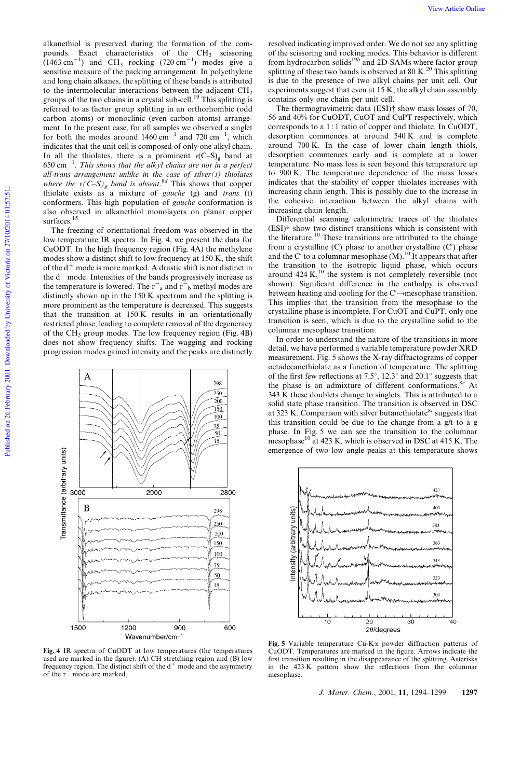alkanethiol is preserved during the formation of the compounds. Exact characteristics of the  $CH<sub>2</sub>$  scissoring  $(1463 \text{ cm}^{-1})$  and CH<sub>3</sub> rocking  $(720 \text{ cm}^{-1})$  modes give a sensitive measure of the packing arrangement. In polyethylene and long chain alkanes, the splitting of these bands is attributed to the intermolecular interactions between the adjacent  $CH<sub>2</sub>$ groups of the two chains in a crystal sub-cell.<sup>19</sup> This splitting is referred to as factor group splitting in an orthorhombic (odd carbon atoms) or monoclinic (even carbon atoms) arrangement. In the present case, for all samples we observed a singlet for both the modes around  $1460 \text{ cm}^{-1}$  and  $720 \text{ cm}^{-1}$ , which indicates that the unit cell is composed of only one alkyl chain. In all the thiolates, there is a prominent  $v(C-S)$ <sub>g</sub> band at  $650 \text{ cm}^{-1}$ . *This shows that the alkyl chains are not in a perfect all-trans arrangement unlike in the case of silver(I) thiolates where the*  $v(C-S)_g$  *band is absent.*<sup>8*d*</sup> This shows that copper thiolate exists as a mixture of *gauche* (g) and *trans* (t) conformers. This high population of *gauche* conformation is also observed in alkanethiol monolayers on planar copper surfaces.<sup>15</sup>

The freezing of orientational freedom was observed in the low temperature IR spectra. In Fig. 4, we present the data for CuODT. In the high frequency region (Fig. 4A) the methylene modes show a distinct shift to low frequency at 150 K, the shift of the  $d^+$  mode is more marked. A drastic shift is not distinct in the  $d^-$  mode. Intensities of the bands progressively increase as the temperature is lowered. The  $r_a$  and  $r_b$  methyl modes are distinctly shown up in the 150 K spectrum and the splitting is more prominent as the temperature is decreased. This suggests that the transition at 150 K results in an orientationally restricted phase, leading to complete removal of the degeneracy of the CH<sub>3</sub> group modes. The low frequency region (Fig. 4B) does not show frequency shifts. The wagging and rocking progression modes gained intensity and the peaks are distinctly



Fig. 4 IR spectra of CuODT at low temperatures (the temperatures used are marked in the figure). (A) CH stretching region and (B) low frequency region. The distinct shift of the  $d^+$  mode and the asymmetry of the r<sup>2</sup> mode are marked.

resolved indicating improved order. We do not see any splitting of the scissoring and rocking modes. This behavior is different from hydrocarbon solids<sup>19b</sup> and 2D-SAMs where factor group splitting of these two bands is observed at 80 K.<sup>20</sup> This splitting is due to the presence of two alkyl chains per unit cell. Our experiments suggest that even at 15 K, the alkyl chain assembly contains only one chain per unit cell.

The thermogravimetric data (ESI)<sup>†</sup> show mass losses of 70, 56 and 40% for CuODT, CuOT and CuPT respectively, which corresponds to a 1 : 1 ratio of copper and thiolate. In CuODT, desorption commences at around 540 K and is complete around 700 K. In the case of lower chain length thiols, desorption commences early and is complete at a lower temperature. No mass loss is seen beyond this temperature up to 900 K. The temperature dependence of the mass losses indicates that the stability of copper thiolates increases with increasing chain length. This is possibly due to the increase in the cohesive interaction between the alkyl chains with increasing chain length.

Differential scanning calorimetric traces of the thiolates (ESI){ show two distinct transitions which is consistent with the literature.<sup>10</sup> These transitions are attributed to the change from a crystalline (C) phase to another crystalline (C') phase and the C' to a columnar mesophase  $(M)$ .<sup>10</sup> It appears that after the transition to the isotropic liquid phase, which occurs around  $424 \text{ K}$ ,  $^{10}$  the system is not completely reversible (not shown). Significant difference in the enthalpy is observed between heating and cooling for the  $C' \rightarrow$  mesophase transition. This implies that the transition from the mesophase to the crystalline phase is incomplete. For CuOT and CuPT, only one transition is seen, which is due to the crystalline solid to the columnar mesophase transition.

In order to understand the nature of the transitions in more detail, we have performed a variable temperature powder XRD measurement. Fig. 5 shows the X-ray diffractograms of copper octadecanethiolate as a function of temperature. The splitting of the first few reflections at 7.5 $^{\circ}$ , 12.3 $^{\circ}$  and 20.1 $^{\circ}$  suggests that the phase is an admixture of different conformations.8*<sup>c</sup>* At 343 K these doublets change to singlets. This is attributed to a solid state phase transition. The transition is observed in DSC at 323 K. Comparison with silver butanethiolate8*<sup>c</sup>* suggests that this transition could be due to the change from a g/t to a g phase. In Fig. 5 we can see the transition to the columnar mesophase<sup>10</sup> at 423 K, which is observed in DSC at 415 K. The emergence of two low angle peaks at this temperature shows



Fig. 5 Variable temperature Cu-Ka powder diffraction patterns of CuODT. Temperatures are marked in the figure. Arrows indicate the first transition resulting in the disappearance of the splitting. Asterisks in the 423 K pattern show the reflections from the columnar mesophase.

*J. Mater. Chem.*, 2001, 11, 1294–1299 1297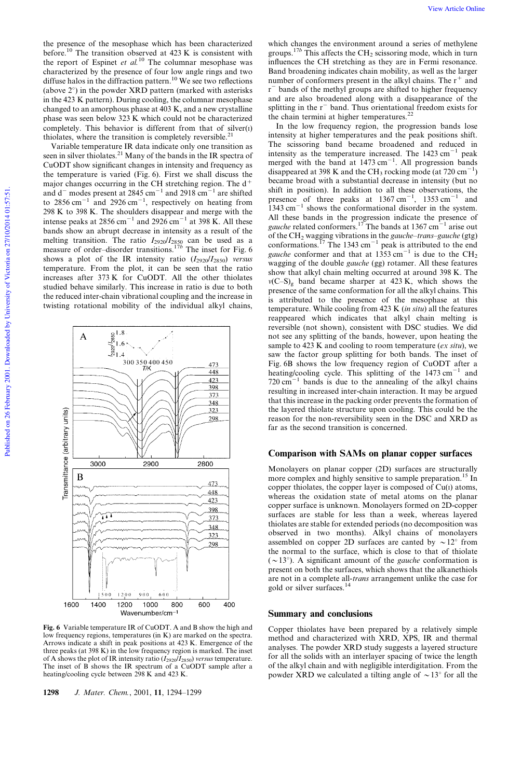the presence of the mesophase which has been characterized before.<sup>10</sup> The transition observed at 423 K is consistent with the report of Espinet *et al.*<sup>10</sup> The columnar mesophase was characterized by the presence of four low angle rings and two diffuse halos in the diffraction pattern.<sup>10</sup> We see two reflections (above  $2^{\circ}$ ) in the powder XRD pattern (marked with asterisks in the 423 K pattern). During cooling, the columnar mesophase changed to an amorphous phase at 403 K, and a new crystalline phase was seen below 323 K which could not be characterized completely. This behavior is different from that of  $silver(I)$ thiolates, where the transition is completely reversible.<sup>21</sup>

Variable temperature IR data indicate only one transition as seen in silver thiolates.<sup>21</sup> Many of the bands in the IR spectra of CuODT show significant changes in intensity and frequency as the temperature is varied (Fig. 6). First we shall discuss the major changes occurring in the CH stretching region. The  $d^+$ and  $d^-$  modes present at 2845 cm<sup>-1</sup> and 2918 cm<sup>-1</sup> are shifted to  $2856 \text{ cm}^{-1}$  and  $2926 \text{ cm}^{-1}$ , respectively on heating from 298 K to 398 K. The shoulders disappear and merge with the intense peaks at  $2856 \text{ cm}^{-1}$  and  $2926 \text{ cm}^{-1}$  at 398 K. All these bands show an abrupt decrease in intensity as a result of the melting transition. The ratio  $I_{2920}/I_{2850}$  can be used as a measure of order–disorder transitions.17*<sup>b</sup>* The inset for Fig. 6 shows a plot of the IR intensity ratio  $(I_{2920}/I_{2850})$  *versus* temperature. From the plot, it can be seen that the ratio increases after 373 K for CuODT. All the other thiolates studied behave similarly. This increase in ratio is due to both the reduced inter-chain vibrational coupling and the increase in twisting rotational mobility of the individual alkyl chains,

323 298  $1500$  $12,00$  $9\;0\;0$ 1200 1000 1400 800 600 400

Fig. 6 Variable temperature IR of CuODT. A and B show the high and low frequency regions, temperatures (in K) are marked on the spectra. Arrows indicate a shift in peak positions at 423 K. Emergence of the three peaks (at 398 K) in the low frequency region is marked. The inset of A shows the plot of IR intensity ratio  $(I_{2920}/I_{2850})$  *versus* temperature. The inset of B shows the IR spectrum of a CuODT sample after a heating/cooling cycle between 298 K and 423 K.

1298 *J. Mater. Chem.*, 2001, 11, 1294–1299

which changes the environment around a series of methylene groups.<sup>17b</sup> This affects the CH<sub>2</sub> scissoring mode, which in turn influences the CH stretching as they are in Fermi resonance. Band broadening indicates chain mobility, as well as the larger number of conformers present in the alkyl chains. The  $r^+$  and  $r<sup>-</sup>$  bands of the methyl groups are shifted to higher frequency and are also broadened along with a disappearance of the splitting in the  $r<sup>-</sup>$  band. Thus orientational freedom exists for the chain termini at higher temperatures. $^{22}$ 

In the low frequency region, the progression bands lose intensity at higher temperatures and the peak positions shift. The scissoring band became broadened and reduced in intensity as the temperature increased. The  $1423 \text{ cm}^{-1}$  peak merged with the band at  $1473 \text{ cm}^{-1}$ . All progression bands disappeared at 398 K and the CH<sub>3</sub> rocking mode (at  $720 \text{ cm}^{-1}$ ) became broad with a substantial decrease in intensity (but no shift in position). In addition to all these observations, the presence of three peaks at  $1367 \text{ cm}^{-1}$ ,  $1353 \text{ cm}^{-1}$  and  $1343 \text{ cm}^{-1}$  shows the conformational disorder in the system. All these bands in the progression indicate the presence of gauche related conformers.<sup>17</sup> The bands at  $1367 \text{ cm}^{-1}$  arise out of the CH<sup>2</sup> wagging vibrations in the *gauche–trans–gauche* (gtg) conformations.<sup>17</sup> The 1343 cm<sup>-1</sup> peak is attributed to the end *gauche* conformer and that at 1353 cm<sup>-1</sup> is due to the CH<sub>2</sub> wagging of the double *gauche* (gg) rotamer. All these features show that alkyl chain melting occurred at around 398 K. The  $v(C-S)$ g band became sharper at 423 K, which shows the presence of the same conformation for all the alkyl chains. This is attributed to the presence of the mesophase at this temperature. While cooling from 423 K (*in situ*) all the features reappeared which indicates that alkyl chain melting is reversible (not shown), consistent with DSC studies. We did not see any splitting of the bands, however, upon heating the sample to 423 K and cooling to room temperature (*ex situ*), we saw the factor group splitting for both bands. The inset of Fig. 6B shows the low frequency region of CuODT after a heating/cooling cycle. This splitting of the  $1473 \text{ cm}^{-1}$  and  $720 \text{ cm}^{-1}$  bands is due to the annealing of the alkyl chains resulting in increased inter-chain interaction. It may be argued that this increase in the packing order prevents the formation of the layered thiolate structure upon cooling. This could be the reason for the non-reversibility seen in the DSC and XRD as far as the second transition is concerned.

# Comparison with SAMs on planar copper surfaces

Monolayers on planar copper (2D) surfaces are structurally more complex and highly sensitive to sample preparation.<sup>15</sup> In copper thiolates, the copper layer is composed of  $Cu(I)$  atoms, whereas the oxidation state of metal atoms on the planar copper surface is unknown. Monolayers formed on 2D-copper surfaces are stable for less than a week, whereas layered thiolates are stable for extended periods (no decomposition was observed in two months). Alkyl chains of monolayers assembled on copper 2D surfaces are canted by  $\sim 12^{\circ}$  from the normal to the surface, which is close to that of thiolate  $({\sim}13^{\circ})$ . A significant amount of the *gauche* conformation is present on both the surfaces, which shows that the alkanethiols are not in a complete all-*trans* arrangement unlike the case for gold or silver surfaces.<sup>14</sup>

### Summary and conclusions

Copper thiolates have been prepared by a relatively simple method and characterized with XRD, XPS, IR and thermal analyses. The powder XRD study suggests a layered structure for all the solids with an interlayer spacing of twice the length of the alkyl chain and with negligible interdigitation. From the powder XRD we calculated a tilting angle of  $\sim$  13 $^{\circ}$  for all the